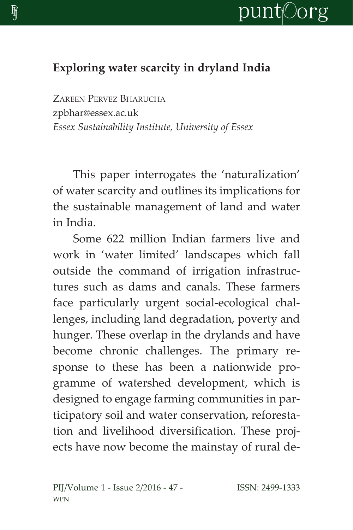

## **Exploring water scarcity in dryland India**

ZAREEN PERVEZ BHARUCHA zpbhar@essex.ac.uk *Essex Sustainability Institute, University of Essex*

This paper interrogates the 'naturalization' of water scarcity and outlines its implications for the sustainable management of land and water in India.

Some 622 million Indian farmers live and work in 'water limited' landscapes which fall outside the command of irrigation infrastructures such as dams and canals. These farmers face particularly urgent social-ecological challenges, including land degradation, poverty and hunger. These overlap in the drylands and have become chronic challenges. The primary response to these has been a nationwide programme of watershed development, which is designed to engage farming communities in participatory soil and water conservation, reforestation and livelihood diversification. These projects have now become the mainstay of rural de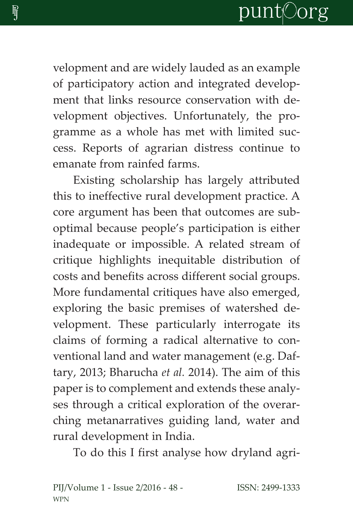velopment and are widely lauded as an example of participatory action and integrated development that links resource conservation with development objectives. Unfortunately, the programme as a whole has met with limited success. Reports of agrarian distress continue to emanate from rainfed farms.

Existing scholarship has largely attributed this to ineffective rural development practice. A core argument has been that outcomes are suboptimal because people's participation is either inadequate or impossible. A related stream of critique highlights inequitable distribution of costs and benefits across different social groups. More fundamental critiques have also emerged, exploring the basic premises of watershed development. These particularly interrogate its claims of forming a radical alternative to conventional land and water management (e.g. Daftary, 2013; Bharucha *et al.* 2014). The aim of this paper is to complement and extends these analyses through a critical exploration of the overarching metanarratives guiding land, water and rural development in India.

To do this I first analyse how dryland agri-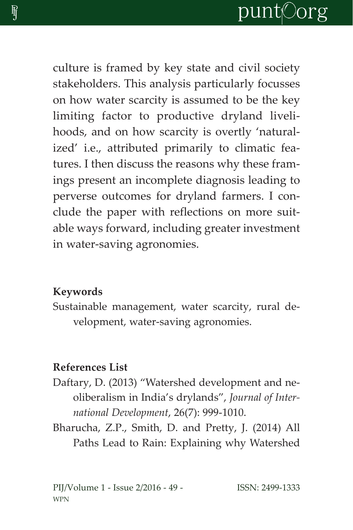culture is framed by key state and civil society stakeholders. This analysis particularly focusses on how water scarcity is assumed to be the key limiting factor to productive dryland livelihoods, and on how scarcity is overtly 'naturalized' i.e., attributed primarily to climatic features. I then discuss the reasons why these framings present an incomplete diagnosis leading to perverse outcomes for dryland farmers. I conclude the paper with reflections on more suitable ways forward, including greater investment in water-saving agronomies.

## **Keywords**

Sustainable management, water scarcity, rural development, water-saving agronomies.

## **References List**

- Daftary, D. (2013) "Watershed development and neoliberalism in India's drylands", *Journal of International Development*, 26(7): 999-1010.
- Bharucha, Z.P., Smith, D. and Pretty, J. (2014) All Paths Lead to Rain: Explaining why Watershed